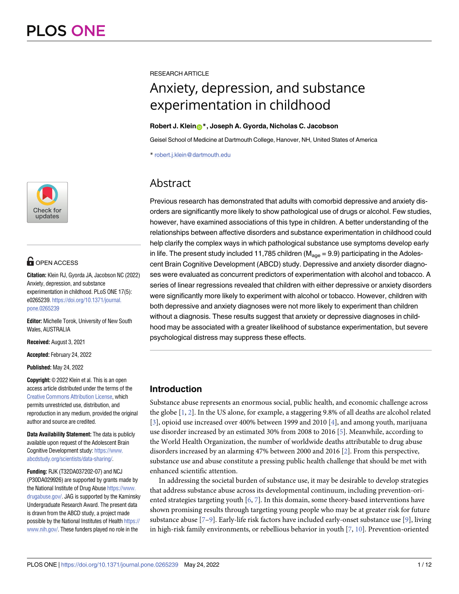

# **OPEN ACCESS**

**Citation:** Klein RJ, Gyorda JA, Jacobson NC (2022) Anxiety, depression, and substance experimentation in childhood. PLoS ONE 17(5): e0265239. [https://doi.org/10.1371/journal.](https://doi.org/10.1371/journal.pone.0265239) [pone.0265239](https://doi.org/10.1371/journal.pone.0265239)

**Editor:** Michelle Torok, University of New South Wales, AUSTRALIA

**Received:** August 3, 2021

**Accepted:** February 24, 2022

**Published:** May 24, 2022

**Copyright:** © 2022 Klein et al. This is an open access article distributed under the terms of the Creative Commons [Attribution](http://creativecommons.org/licenses/by/4.0/) License, which permits unrestricted use, distribution, and reproduction in any medium, provided the original author and source are credited.

**Data Availability Statement:** The data is publicly available upon request of the Adolescent Brain Cognitive Development study: [https://www.](https://www.abcdstudy.org/scientists/data-sharing/) [abcdstudy.org/scientists/data-sharing/.](https://www.abcdstudy.org/scientists/data-sharing/)

**Funding:** RJK (T32DA037202-07) and NCJ (P30DA029926) are supported by grants made by the National Institute of Drug Abuse [https://www.](https://www.drugabuse.gov/) [drugabuse.gov/](https://www.drugabuse.gov/). JAG is supported by the Kaminsky Undergraduate Research Award. The present data is drawn from the ABCD study, a project made possible by the National Institutes of Health [https://](https://www.nih.gov/) [www.nih.gov/](https://www.nih.gov/). These funders played no role in the

<span id="page-0-0"></span>RESEARCH ARTICLE

# Anxiety, depression, and substance experimentation in childhood

## **Robert J. Klein[ID](https://orcid.org/0000-0001-6143-787X)\*, Joseph A. Gyorda, Nicholas C. Jacobson**

Geisel School of Medicine at Dartmouth College, Hanover, NH, United States of America

\* robert.j.klein@dartmouth.edu

# Abstract

Previous research has demonstrated that adults with comorbid depressive and anxiety disorders are significantly more likely to show pathological use of drugs or alcohol. Few studies, however, have examined associations of this type in children. A better understanding of the relationships between affective disorders and substance experimentation in childhood could help clarify the complex ways in which pathological substance use symptoms develop early in life. The present study included 11,785 children ( $M_{\text{aqe}}$  = 9.9) participating in the Adolescent Brain Cognitive Development (ABCD) study. Depressive and anxiety disorder diagnoses were evaluated as concurrent predictors of experimentation with alcohol and tobacco. A series of linear regressions revealed that children with either depressive or anxiety disorders were significantly more likely to experiment with alcohol or tobacco. However, children with both depressive and anxiety diagnoses were not more likely to experiment than children without a diagnosis. These results suggest that anxiety or depressive diagnoses in childhood may be associated with a greater likelihood of substance experimentation, but severe psychological distress may suppress these effects.

# **Introduction**

Substance abuse represents an enormous social, public health, and economic challenge across the globe [[1,](#page-9-0) [2\]](#page-9-0). In the US alone, for example, a staggering 9.8% of all deaths are alcohol related [\[3](#page-9-0)], opioid use increased over 400% between 1999 and 2010 [[4](#page-9-0)], and among youth, marijuana use disorder increased by an estimated 30% from 2008 to 2016 [\[5\]](#page-9-0). Meanwhile, according to the World Health Organization, the number of worldwide deaths attributable to drug abuse disorders increased by an alarming 47% between 2000 and 2016 [\[2\]](#page-9-0). From this perspective, substance use and abuse constitute a pressing public health challenge that should be met with enhanced scientific attention.

In addressing the societal burden of substance use, it may be desirable to develop strategies that address substance abuse across its developmental continuum, including prevention-oriented strategies targeting youth [\[6](#page-9-0), [7](#page-9-0)]. In this domain, some theory-based interventions have shown promising results through targeting young people who may be at greater risk for future substance abuse [\[7–9\]](#page-9-0). Early-life risk factors have included early-onset substance use [[9](#page-9-0)], living in high-risk family environments, or rebellious behavior in youth  $[7, 10]$  $[7, 10]$  $[7, 10]$  $[7, 10]$  $[7, 10]$ . Prevention-oriented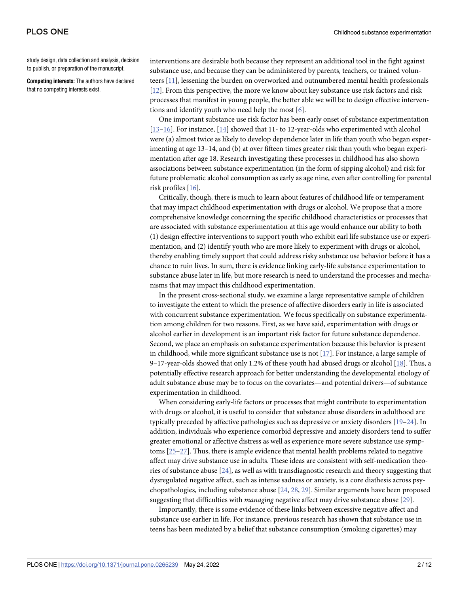<span id="page-1-0"></span>study design, data collection and analysis, decision to publish, or preparation of the manuscript.

**Competing interests:** The authors have declared that no competing interests exist.

interventions are desirable both because they represent an additional tool in the fight against substance use, and because they can be administered by parents, teachers, or trained volunteers [\[11\]](#page-9-0), lessening the burden on overworked and outnumbered mental health professionals [\[12\]](#page-9-0). From this perspective, the more we know about key substance use risk factors and risk processes that manifest in young people, the better able we will be to design effective interventions and identify youth who need help the most [[6\]](#page-9-0).

One important substance use risk factor has been early onset of substance experimentation [\[13–16\]](#page-9-0). For instance, [[14](#page-9-0)] showed that 11- to 12-year-olds who experimented with alcohol were (a) almost twice as likely to develop dependence later in life than youth who began experimenting at age 13–14, and (b) at over fifteen times greater risk than youth who began experimentation after age 18. Research investigating these processes in childhood has also shown associations between substance experimentation (in the form of sipping alcohol) and risk for future problematic alcohol consumption as early as age nine, even after controlling for parental risk profiles [[16](#page-9-0)].

Critically, though, there is much to learn about features of childhood life or temperament that may impact childhood experimentation with drugs or alcohol. We propose that a more comprehensive knowledge concerning the specific childhood characteristics or processes that are associated with substance experimentation at this age would enhance our ability to both (1) design effective interventions to support youth who exhibit earl life substance use or experimentation, and (2) identify youth who are more likely to experiment with drugs or alcohol, thereby enabling timely support that could address risky substance use behavior before it has a chance to ruin lives. In sum, there is evidence linking early-life substance experimentation to substance abuse later in life, but more research is need to understand the processes and mechanisms that may impact this childhood experimentation.

In the present cross-sectional study, we examine a large representative sample of children to investigate the extent to which the presence of affective disorders early in life is associated with concurrent substance experimentation. We focus specifically on substance experimentation among children for two reasons. First, as we have said, experimentation with drugs or alcohol earlier in development is an important risk factor for future substance dependence. Second, we place an emphasis on substance experimentation because this behavior is present in childhood, while more significant substance use is not [\[17\]](#page-9-0). For instance, a large sample of 9–17-year-olds showed that only 1.2% of these youth had abused drugs or alcohol [[18](#page-9-0)]. Thus, a potentially effective research approach for better understanding the developmental etiology of adult substance abuse may be to focus on the covariates—and potential drivers—of substance experimentation in childhood.

When considering early-life factors or processes that might contribute to experimentation with drugs or alcohol, it is useful to consider that substance abuse disorders in adulthood are typically preceded by affective pathologies such as depressive or anxiety disorders [\[19–](#page-9-0)[24](#page-10-0)]. In addition, individuals who experience comorbid depressive and anxiety disorders tend to suffer greater emotional or affective distress as well as experience more severe substance use symptoms [\[25–27\]](#page-10-0). Thus, there is ample evidence that mental health problems related to negative affect may drive substance use in adults. These ideas are consistent with self-medication theories of substance abuse [[24](#page-10-0)], as well as with transdiagnostic research and theory suggesting that dysregulated negative affect, such as intense sadness or anxiety, is a core diathesis across psychopathologies, including substance abuse [\[24,](#page-10-0) [28,](#page-10-0) [29\]](#page-10-0). Similar arguments have been proposed suggesting that difficulties with *managing* negative affect may drive substance abuse [\[29\]](#page-10-0).

Importantly, there is some evidence of these links between excessive negative affect and substance use earlier in life. For instance, previous research has shown that substance use in teens has been mediated by a belief that substance consumption (smoking cigarettes) may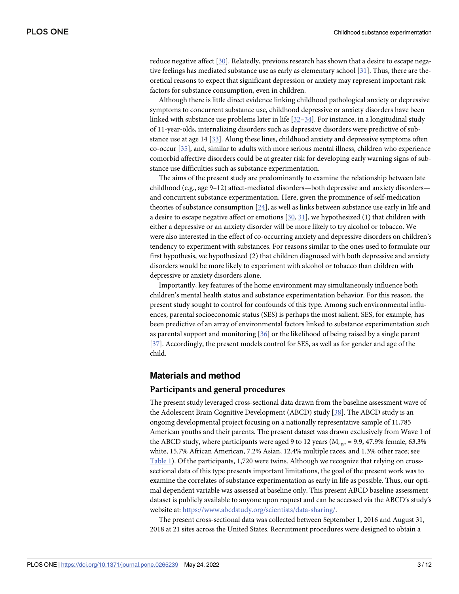<span id="page-2-0"></span>reduce negative affect [\[30\]](#page-10-0). Relatedly, previous research has shown that a desire to escape negative feelings has mediated substance use as early as elementary school [\[31\]](#page-10-0). Thus, there are theoretical reasons to expect that significant depression or anxiety may represent important risk factors for substance consumption, even in children.

Although there is little direct evidence linking childhood pathological anxiety or depressive symptoms to concurrent substance use, childhood depressive or anxiety disorders have been linked with substance use problems later in life  $[32-34]$ . For instance, in a longitudinal study of 11-year-olds, internalizing disorders such as depressive disorders were predictive of substance use at age 14 [[33\]](#page-10-0). Along these lines, childhood anxiety and depressive symptoms often co-occur [[35](#page-10-0)], and, similar to adults with more serious mental illness, children who experience comorbid affective disorders could be at greater risk for developing early warning signs of substance use difficulties such as substance experimentation.

The aims of the present study are predominantly to examine the relationship between late childhood (e.g., age 9–12) affect-mediated disorders—both depressive and anxiety disorders and concurrent substance experimentation. Here, given the prominence of self-medication theories of substance consumption [\[24\]](#page-10-0), as well as links between substance use early in life and a desire to escape negative affect or emotions [[30](#page-10-0), [31](#page-10-0)], we hypothesized (1) that children with either a depressive or an anxiety disorder will be more likely to try alcohol or tobacco. We were also interested in the effect of co-occurring anxiety and depressive disorders on children's tendency to experiment with substances. For reasons similar to the ones used to formulate our first hypothesis, we hypothesized (2) that children diagnosed with both depressive and anxiety disorders would be more likely to experiment with alcohol or tobacco than children with depressive or anxiety disorders alone.

Importantly, key features of the home environment may simultaneously influence both children's mental health status and substance experimentation behavior. For this reason, the present study sought to control for confounds of this type. Among such environmental influences, parental socioeconomic status (SES) is perhaps the most salient. SES, for example, has been predictive of an array of environmental factors linked to substance experimentation such as parental support and monitoring [\[36\]](#page-10-0) or the likelihood of being raised by a single parent [\[37\]](#page-10-0). Accordingly, the present models control for SES, as well as for gender and age of the child.

# **Materials and method**

#### **Participants and general procedures**

The present study leveraged cross-sectional data drawn from the baseline assessment wave of the Adolescent Brain Cognitive Development (ABCD) study [[38](#page-10-0)]. The ABCD study is an ongoing developmental project focusing on a nationally representative sample of 11,785 American youths and their parents. The present dataset was drawn exclusively from Wave 1 of the ABCD study, where participants were aged 9 to 12 years ( $M_{\text{age}}$  = 9.9, 47.9% female, 63.3% white, 15.7% African American, 7.2% Asian, 12.4% multiple races, and 1.3% other race; see [Table](#page-3-0) 1). Of the participants, 1,720 were twins. Although we recognize that relying on crosssectional data of this type presents important limitations, the goal of the present work was to examine the correlates of substance experimentation as early in life as possible. Thus, our optimal dependent variable was assessed at baseline only. This present ABCD baseline assessment dataset is publicly available to anyone upon request and can be accessed via the ABCD's study's website at: [https://www.abcdstudy.org/scientists/data-sharing/.](https://www.abcdstudy.org/scientists/data-sharing/)

The present cross-sectional data was collected between September 1, 2016 and August 31, 2018 at 21 sites across the United States. Recruitment procedures were designed to obtain a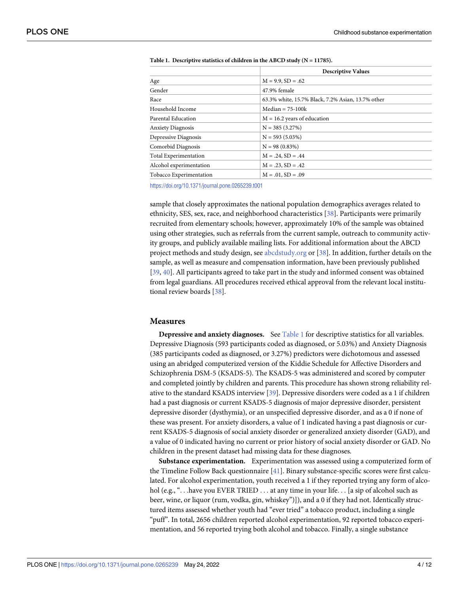| <b>Descriptive Values</b>                         |  |  |
|---------------------------------------------------|--|--|
| $M = 9.9$ , $SD = .62$                            |  |  |
| 47.9% female                                      |  |  |
| 63.3% white, 15.7% Black, 7.2% Asian, 13.7% other |  |  |
| $Median = 75-100k$                                |  |  |
| $M = 16.2$ years of education                     |  |  |
| $N = 385(3.27%)$                                  |  |  |
| $N = 593(5.03\%)$                                 |  |  |
| $N = 98(0.83%)$                                   |  |  |
| $M = .24$ , $SD = .44$                            |  |  |
| $M = .23$ , $SD = .42$                            |  |  |
| $M = .01$ , $SD = .09$                            |  |  |
|                                                   |  |  |

<span id="page-3-0"></span>

|  | Table 1. Descriptive statistics of children in the ABCD study ( $N = 11785$ ). |  |  |  |
|--|--------------------------------------------------------------------------------|--|--|--|
|--|--------------------------------------------------------------------------------|--|--|--|

<https://doi.org/10.1371/journal.pone.0265239.t001>

sample that closely approximates the national population demographics averages related to ethnicity, SES, sex, race, and neighborhood characteristics [[38](#page-10-0)]. Participants were primarily recruited from elementary schools; however, approximately 10% of the sample was obtained using other strategies, such as referrals from the current sample, outreach to community activity groups, and publicly available mailing lists. For additional information about the ABCD project methods and study design, see [abcdstudy.org](http://abcdstudy.org) or [[38](#page-10-0)]. In addition, further details on the sample, as well as measure and compensation information, have been previously published [\[39,](#page-11-0) [40\]](#page-11-0). All participants agreed to take part in the study and informed consent was obtained from legal guardians. All procedures received ethical approval from the relevant local institutional review boards [\[38\]](#page-10-0).

#### **Measures**

**Depressive and anxiety diagnoses.** See Table 1 for descriptive statistics for all variables. Depressive Diagnosis (593 participants coded as diagnosed, or 5.03%) and Anxiety Diagnosis (385 participants coded as diagnosed, or 3.27%) predictors were dichotomous and assessed using an abridged computerized version of the Kiddie Schedule for Affective Disorders and Schizophrenia DSM-5 (KSADS-5). The KSADS-5 was administered and scored by computer and completed jointly by children and parents. This procedure has shown strong reliability relative to the standard KSADS interview [[39](#page-11-0)]. Depressive disorders were coded as a 1 if children had a past diagnosis or current KSADS-5 diagnosis of major depressive disorder, persistent depressive disorder (dysthymia), or an unspecified depressive disorder, and as a 0 if none of these was present. For anxiety disorders, a value of 1 indicated having a past diagnosis or current KSADS-5 diagnosis of social anxiety disorder or generalized anxiety disorder (GAD), and a value of 0 indicated having no current or prior history of social anxiety disorder or GAD. No children in the present dataset had missing data for these diagnoses.

**Substance experimentation.** Experimentation was assessed using a computerized form of the Timeline Follow Back questionnaire [\[41\]](#page-11-0). Binary substance-specific scores were first calculated. For alcohol experimentation, youth received a 1 if they reported trying any form of alcohol (e.g., "... have you EVER TRIED ... at any time in your life... [a sip of alcohol such as beer, wine, or liquor (rum, vodka, gin, whiskey")]), and a 0 if they had not. Identically structured items assessed whether youth had "ever tried" a tobacco product, including a single "puff". In total, 2656 children reported alcohol experimentation, 92 reported tobacco experimentation, and 56 reported trying both alcohol and tobacco. Finally, a single substance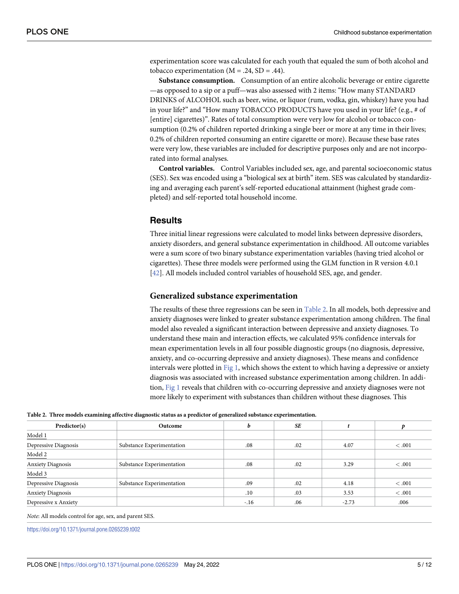<span id="page-4-0"></span>experimentation score was calculated for each youth that equaled the sum of both alcohol and tobacco experimentation ( $M = .24$ ,  $SD = .44$ ).

**Substance consumption.** Consumption of an entire alcoholic beverage or entire cigarette —as opposed to a sip or a puff—was also assessed with 2 items: "How many STANDARD DRINKS of ALCOHOL such as beer, wine, or liquor (rum, vodka, gin, whiskey) have you had in your life?" and "How many TOBACCO PRODUCTS have you used in your life? (e.g., # of [entire] cigarettes)". Rates of total consumption were very low for alcohol or tobacco consumption (0.2% of children reported drinking a single beer or more at any time in their lives; 0.2% of children reported consuming an entire cigarette or more). Because these base rates were very low, these variables are included for descriptive purposes only and are not incorporated into formal analyses.

**Control variables.** Control Variables included sex, age, and parental socioeconomic status (SES). Sex was encoded using a "biological sex at birth" item. SES was calculated by standardizing and averaging each parent's self-reported educational attainment (highest grade completed) and self-reported total household income.

# **Results**

Three initial linear regressions were calculated to model links between depressive disorders, anxiety disorders, and general substance experimentation in childhood. All outcome variables were a sum score of two binary substance experimentation variables (having tried alcohol or cigarettes). These three models were performed using the GLM function in R version 4.0.1 [\[42\]](#page-11-0). All models included control variables of household SES, age, and gender.

#### **Generalized substance experimentation**

The results of these three regressions can be seen in Table 2. In all models, both depressive and anxiety diagnoses were linked to greater substance experimentation among children. The final model also revealed a significant interaction between depressive and anxiety diagnoses. To understand these main and interaction effects, we calculated 95% confidence intervals for mean experimentation levels in all four possible diagnostic groups (no diagnosis, depressive, anxiety, and co-occurring depressive and anxiety diagnoses). These means and confidence intervals were plotted in [Fig](#page-5-0) 1, which shows the extent to which having a depressive or anxiety diagnosis was associated with increased substance experimentation among children. In addition, [Fig](#page-5-0) 1 reveals that children with co-occurring depressive and anxiety diagnoses were not more likely to experiment with substances than children without these diagnoses. This

|  |  |  |  |  | Table 2. Three models examining affective diagnostic status as a predictor of generalized substance experimentation. |  |
|--|--|--|--|--|----------------------------------------------------------------------------------------------------------------------|--|
|--|--|--|--|--|----------------------------------------------------------------------------------------------------------------------|--|

| Predictor(s)             | Outcome                   |        | SE  |         |       |
|--------------------------|---------------------------|--------|-----|---------|-------|
| Model 1                  |                           |        |     |         |       |
| Depressive Diagnosis     | Substance Experimentation | .08    | .02 | 4.07    | <.001 |
| Model 2                  |                           |        |     |         |       |
| <b>Anxiety Diagnosis</b> | Substance Experimentation | .08    | .02 | 3.29    | <.001 |
| $Model 3$                |                           |        |     |         |       |
| Depressive Diagnosis     | Substance Experimentation | .09    | .02 | 4.18    | <.001 |
| <b>Anxiety Diagnosis</b> |                           | .10    | .03 | 3.53    | <.001 |
| Depressive x Anxiety     |                           | $-.16$ | .06 | $-2.73$ | .006  |

*Note*: All models control for age, sex, and parent SES.

<https://doi.org/10.1371/journal.pone.0265239.t002>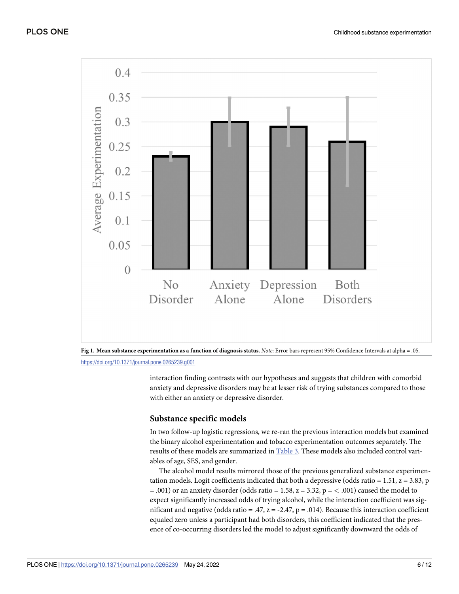<span id="page-5-0"></span>



interaction finding contrasts with our hypotheses and suggests that children with comorbid anxiety and depressive disorders may be at lesser risk of trying substances compared to those with either an anxiety or depressive disorder.

#### **Substance specific models**

In two follow-up logistic regressions, we re-ran the previous interaction models but examined the binary alcohol experimentation and tobacco experimentation outcomes separately. The results of these models are summarized in [Table](#page-6-0) 3. These models also included control variables of age, SES, and gender.

The alcohol model results mirrored those of the previous generalized substance experimentation models. Logit coefficients indicated that both a depressive (odds ratio = 1.51,  $z = 3.83$ , p = .001) or an anxiety disorder (odds ratio = 1.58, z = 3.32, p = *<* .001) caused the model to expect significantly increased odds of trying alcohol, while the interaction coefficient was significant and negative (odds ratio = .47,  $z = -2.47$ ,  $p = .014$ ). Because this interaction coefficient equaled zero unless a participant had both disorders, this coefficient indicated that the presence of co-occurring disorders led the model to adjust significantly downward the odds of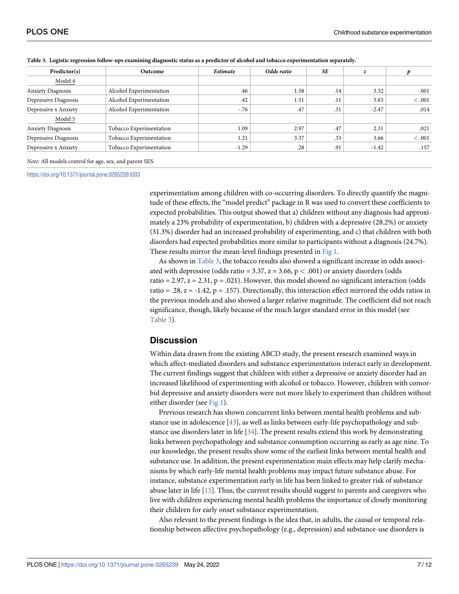| Predictor(s)             | Outcome                 | Estimate | Odds ratio | SE  | z       |       |
|--------------------------|-------------------------|----------|------------|-----|---------|-------|
| Model 4                  |                         |          |            |     |         |       |
| <b>Anxiety Diagnosis</b> | Alcohol Experimentation | .46      | 1.58       | .14 | 3.32    | .001  |
| Depressive Diagnosis     | Alcohol Experimentation | .42      | 1.51       | .11 | 3.83    | <.001 |
| Depressive x Anxiety     | Alcohol Experimentation | $-0.76$  | .47        | .31 | $-2.47$ | .014  |
| Model 5                  |                         |          |            |     |         |       |
| <b>Anxiety Diagnosis</b> | Tobacco Experimentation | 1.09     | 2.97       | .47 | 2.31    | .021  |
| Depressive Diagnosis     | Tobacco Experimentation | 1.21     | 3.37       | .33 | 3.66    | <.001 |
| Depressive x Anxiety     | Tobacco Experimentation | $-1.29$  | .28        | .91 | $-1.42$ | .157  |
|                          |                         |          |            |     |         |       |

<span id="page-6-0"></span>Table 3. Logistic regression follow-ups examining diagnostic status as a predictor of alcohol and tobacco experimentation separately.

*Note*: All models control for age, sex, and parent SES.

<https://doi.org/10.1371/journal.pone.0265239.t003>

experimentation among children with co-occurring disorders. To directly quantify the magnitude of these effects, the "model predict" package in R was used to convert these coefficients to expected probabilities. This output showed that a) children without any diagnosis had approximately a 23% probability of experimentation, b) children with a depressive (28.2%) or anxiety (31.3%) disorder had an increased probability of experimenting, and c) that children with both disorders had expected probabilities more similar to participants without a diagnosis (24.7%). These results mirror the mean-level findings presented in [Fig](#page-5-0) 1.

As shown in Table 3, the tobacco results also showed a significant increase in odds associated with depressive (odds ratio = 3.37, z = 3.66, p *<* .001) or anxiety disorders (odds ratio = 2.97,  $z = 2.31$ ,  $p = .021$ ). However, this model showed no significant interaction (odds ratio = .28,  $z = -1.42$ ,  $p = .157$ ). Directionally, this interaction effect mirrored the odds ratios in the previous models and also showed a larger relative magnitude. The coefficient did not reach significance, though, likely because of the much larger standard error in this model (see Table 3).

## **Discussion**

Within data drawn from the existing ABCD study, the present research examined ways in which affect-mediated disorders and substance experimentation interact early in development. The current findings suggest that children with either a depressive or anxiety disorder had an increased likelihood of experimenting with alcohol or tobacco. However, children with comorbid depressive and anxiety disorders were not more likely to experiment than children without either disorder (see [Fig](#page-5-0) 1).

Previous research has shown concurrent links between mental health problems and substance use in adolescence [[43](#page-11-0)], as well as links between early-life psychopathology and substance use disorders later in life [[34](#page-10-0)]. The present results extend this work by demonstrating links between psychopathology and substance consumption occurring as early as age nine. To our knowledge, the present results show some of the earliest links between mental health and substance use. In addition, the present experimentation main effects may help clarify mechanisms by which early-life mental health problems may impact future substance abuse. For instance, substance experimentation early in life has been linked to greater risk of substance abuse later in life [[15](#page-9-0)]. Thus, the current results should suggest to parents and caregivers who live with children experiencing mental health problems the importance of closely monitoring their children for early onset substance experimentation.

Also relevant to the present findings is the idea that, in adults, the causal or temporal relationship between affective psychopathology (e.g., depression) and substance-use disorders is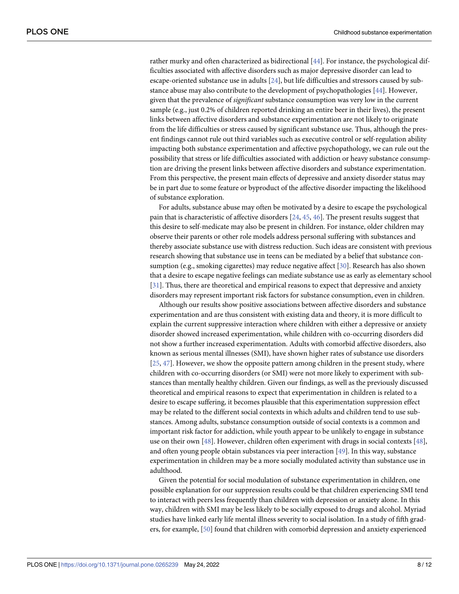<span id="page-7-0"></span>rather murky and often characterized as bidirectional [[44](#page-11-0)]. For instance, the psychological difficulties associated with affective disorders such as major depressive disorder can lead to escape-oriented substance use in adults [\[24\]](#page-10-0), but life difficulties and stressors caused by substance abuse may also contribute to the development of psychopathologies [[44](#page-11-0)]. However, given that the prevalence of *significant* substance consumption was very low in the current sample (e.g., just 0.2% of children reported drinking an entire beer in their lives), the present links between affective disorders and substance experimentation are not likely to originate from the life difficulties or stress caused by significant substance use. Thus, although the present findings cannot rule out third variables such as executive control or self-regulation ability impacting both substance experimentation and affective psychopathology, we can rule out the possibility that stress or life difficulties associated with addiction or heavy substance consumption are driving the present links between affective disorders and substance experimentation. From this perspective, the present main effects of depressive and anxiety disorder status may be in part due to some feature or byproduct of the affective disorder impacting the likelihood of substance exploration.

For adults, substance abuse may often be motivated by a desire to escape the psychological pain that is characteristic of affective disorders [[24](#page-10-0), [45](#page-11-0), [46](#page-11-0)]. The present results suggest that this desire to self-medicate may also be present in children. For instance, older children may observe their parents or other role models address personal suffering with substances and thereby associate substance use with distress reduction. Such ideas are consistent with previous research showing that substance use in teens can be mediated by a belief that substance consumption (e.g., smoking cigarettes) may reduce negative affect [\[30\]](#page-10-0). Research has also shown that a desire to escape negative feelings can mediate substance use as early as elementary school [\[31\]](#page-10-0). Thus, there are theoretical and empirical reasons to expect that depressive and anxiety disorders may represent important risk factors for substance consumption, even in children.

Although our results show positive associations between affective disorders and substance experimentation and are thus consistent with existing data and theory, it is more difficult to explain the current suppressive interaction where children with either a depressive or anxiety disorder showed increased experimentation, while children with co-occurring disorders did not show a further increased experimentation. Adults with comorbid affective disorders, also known as serious mental illnesses (SMI), have shown higher rates of substance use disorders [\[25,](#page-10-0) [47\]](#page-11-0). However, we show the opposite pattern among children in the present study, where children with co-occurring disorders (or SMI) were not more likely to experiment with substances than mentally healthy children. Given our findings, as well as the previously discussed theoretical and empirical reasons to expect that experimentation in children is related to a desire to escape suffering, it becomes plausible that this experimentation suppression effect may be related to the different social contexts in which adults and children tend to use substances. Among adults, substance consumption outside of social contexts is a common and important risk factor for addiction, while youth appear to be unlikely to engage in substance use on their own [\[48\]](#page-11-0). However, children often experiment with drugs in social contexts [[48](#page-11-0)], and often young people obtain substances via peer interaction [\[49\]](#page-11-0). In this way, substance experimentation in children may be a more socially modulated activity than substance use in adulthood.

Given the potential for social modulation of substance experimentation in children, one possible explanation for our suppression results could be that children experiencing SMI tend to interact with peers less frequently than children with depression or anxiety alone. In this way, children with SMI may be less likely to be socially exposed to drugs and alcohol. Myriad studies have linked early life mental illness severity to social isolation. In a study of fifth graders, for example, [\[50\]](#page-11-0) found that children with comorbid depression and anxiety experienced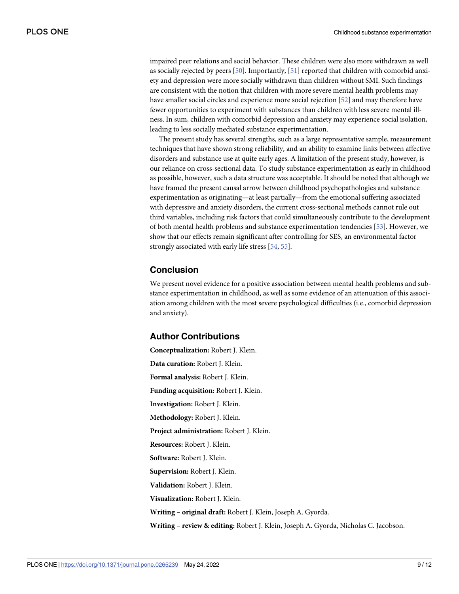<span id="page-8-0"></span>impaired peer relations and social behavior. These children were also more withdrawn as well as socially rejected by peers [[50](#page-11-0)]. Importantly, [\[51\]](#page-11-0) reported that children with comorbid anxiety and depression were more socially withdrawn than children without SMI. Such findings are consistent with the notion that children with more severe mental health problems may have smaller social circles and experience more social rejection [[52](#page-11-0)] and may therefore have fewer opportunities to experiment with substances than children with less severe mental illness. In sum, children with comorbid depression and anxiety may experience social isolation, leading to less socially mediated substance experimentation.

The present study has several strengths, such as a large representative sample, measurement techniques that have shown strong reliability, and an ability to examine links between affective disorders and substance use at quite early ages. A limitation of the present study, however, is our reliance on cross-sectional data. To study substance experimentation as early in childhood as possible, however, such a data structure was acceptable. It should be noted that although we have framed the present causal arrow between childhood psychopathologies and substance experimentation as originating—at least partially—from the emotional suffering associated with depressive and anxiety disorders, the current cross-sectional methods cannot rule out third variables, including risk factors that could simultaneously contribute to the development of both mental health problems and substance experimentation tendencies [[53](#page-11-0)]. However, we show that our effects remain significant after controlling for SES, an environmental factor strongly associated with early life stress [[54](#page-11-0), [55](#page-11-0)].

# **Conclusion**

We present novel evidence for a positive association between mental health problems and substance experimentation in childhood, as well as some evidence of an attenuation of this association among children with the most severe psychological difficulties (i.e., comorbid depression and anxiety).

#### **Author Contributions**

**Conceptualization:** Robert J. Klein. **Data curation:** Robert J. Klein. **Formal analysis:** Robert J. Klein. **Funding acquisition:** Robert J. Klein. **Investigation:** Robert J. Klein. **Methodology:** Robert J. Klein. **Project administration:** Robert J. Klein. **Resources:** Robert J. Klein. **Software:** Robert J. Klein. **Supervision:** Robert J. Klein. **Validation:** Robert J. Klein. **Visualization:** Robert J. Klein. **Writing – original draft:** Robert J. Klein, Joseph A. Gyorda. **Writing – review & editing:** Robert J. Klein, Joseph A. Gyorda, Nicholas C. Jacobson.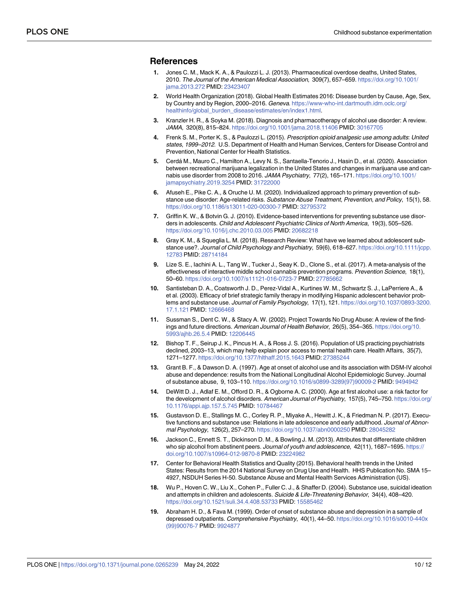## <span id="page-9-0"></span>**References**

- **[1](#page-0-0).** Jones C. M., Mack K. A., & Paulozzi L. J. (2013). Pharmaceutical overdose deaths, United States, 2010. The Journal of the American Medical Association, 309(7), 657–659. [https://doi.org/10.1001/](https://doi.org/10.1001/jama.2013.272) [jama.2013.272](https://doi.org/10.1001/jama.2013.272) PMID: [23423407](http://www.ncbi.nlm.nih.gov/pubmed/23423407)
- **[2](#page-0-0).** World Health Organization (2018). Global Health Estimates 2016: Disease burden by Cause, Age, Sex, by Country and by Region, 2000–2016. Geneva. [https://www-who-int.dartmouth.idm.oclc.org/](https://www-who-int.dartmouth.idm.oclc.org/healthinfo/global_burden_disease/estimates/en/index1.html) [healthinfo/global\\_burden\\_disease/estimates/en/index1.html.](https://www-who-int.dartmouth.idm.oclc.org/healthinfo/global_burden_disease/estimates/en/index1.html)
- **[3](#page-0-0).** Kranzler H. R., & Soyka M. (2018). Diagnosis and pharmacotherapy of alcohol use disorder: A review. JAMA, 320(8), 815–824. <https://doi.org/10.1001/jama.2018.11406> PMID: [30167705](http://www.ncbi.nlm.nih.gov/pubmed/30167705)
- **[4](#page-0-0).** Frenk S. M., Porter K. S., & Paulozzi L. (2015). Prescription opioid analgesic use among adults: United states, 1999–2012. U.S. Department of Health and Human Services, Centers for Disease Control and Prevention, National Center for Health Statistics.
- **[5](#page-0-0).** Cerdá M., Mauro C., Hamilton A., Levy N. S., Santaella-Tenorio J., Hasin D., et al. (2020). Association between recreational marijuana legalization in the United States and changes in marijuana use and cannabis use disorder from 2008 to 2016. JAMA Psychiatry, 77(2), 165–171. [https://doi.org/10.1001/](https://doi.org/10.1001/jamapsychiatry.2019.3254) [jamapsychiatry.2019.3254](https://doi.org/10.1001/jamapsychiatry.2019.3254) PMID: [31722000](http://www.ncbi.nlm.nih.gov/pubmed/31722000)
- **[6](#page-0-0).** Afuseh E., Pike C. A., & Oruche U. M. (2020). Individualized approach to primary prevention of substance use disorder: Age-related risks. Substance Abuse Treatment, Prevention, and Policy, 15(1), 58. <https://doi.org/10.1186/s13011-020-00300-7> PMID: [32795372](http://www.ncbi.nlm.nih.gov/pubmed/32795372)
- **[7](#page-0-0).** Griffin K. W., & Botvin G. J. (2010). Evidence-based interventions for preventing substance use disorders in adolescents. Child and Adolescent Psychiatric Clinics of North America, 19(3), 505–526. <https://doi.org/10.1016/j.chc.2010.03.005> PMID: [20682218](http://www.ncbi.nlm.nih.gov/pubmed/20682218)
- **8.** Gray K. M., & Squeglia L. M. (2018). Research Review: What have we learned about adolescent substance use?. Journal of Child Psychology and Psychiatry, 59(6), 618–627. [https://doi.org/10.1111/jcpp.](https://doi.org/10.1111/jcpp.12783) [12783](https://doi.org/10.1111/jcpp.12783) PMID: [28714184](http://www.ncbi.nlm.nih.gov/pubmed/28714184)
- **[9](#page-0-0).** Lize S. E., Iachini A. L., Tang W., Tucker J., Seay K. D., Clone S., et al. (2017). A meta-analysis of the effectiveness of interactive middle school cannabis prevention programs. Prevention Science, 18(1), 50–60. <https://doi.org/10.1007/s11121-016-0723-7> PMID: [27785662](http://www.ncbi.nlm.nih.gov/pubmed/27785662)
- **[10](#page-0-0).** Santisteban D. A., Coatsworth J. D., Perez-Vidal A., Kurtines W. M., Schwartz S. J., LaPerriere A., & et al. (2003). Efficacy of brief strategic family therapy in modifying Hispanic adolescent behavior problems and substance use. Journal of Family Psychology, 17(1), 121. [https://doi.org/10.1037/0893-3200.](https://doi.org/10.1037/0893-3200.17.1.121) [17.1.121](https://doi.org/10.1037/0893-3200.17.1.121) PMID: [12666468](http://www.ncbi.nlm.nih.gov/pubmed/12666468)
- **[11](#page-1-0).** Sussman S., Dent C. W., & Stacy A. W. (2002). Project Towards No Drug Abuse: A review of the findings and future directions. American Journal of Health Behavior, 26(5), 354–365. [https://doi.org/10.](https://doi.org/10.5993/ajhb.26.5.4) [5993/ajhb.26.5.4](https://doi.org/10.5993/ajhb.26.5.4) PMID: [12206445](http://www.ncbi.nlm.nih.gov/pubmed/12206445)
- **[12](#page-1-0).** Bishop T. F., Seirup J. K., Pincus H. A., & Ross J. S. (2016). Population of US practicing psychiatrists declined, 2003–13, which may help explain poor access to mental health care. Health Affairs, 35(7), 1271–1277. <https://doi.org/10.1377/hlthaff.2015.1643> PMID: [27385244](http://www.ncbi.nlm.nih.gov/pubmed/27385244)
- **[13](#page-1-0).** Grant B. F., & Dawson D. A. (1997). Age at onset of alcohol use and its association with DSM-IV alcohol abuse and dependence: results from the National Longitudinal Alcohol Epidemiologic Survey. Journal of substance abuse, 9, 103–110. [https://doi.org/10.1016/s0899-3289\(97\)90009-2](https://doi.org/10.1016/s0899-3289%2897%2990009-2) PMID: [9494942](http://www.ncbi.nlm.nih.gov/pubmed/9494942)
- **[14](#page-1-0).** DeWitt D. J., Adlaf E. M., Offord D. R., & Ogborne A. C. (2000). Age at first alcohol use: a risk factor for the development of alcohol disorders. American Journal of Psychiatry, 157(5), 745-750. [https://doi.org/](https://doi.org/10.1176/appi.ajp.157.5.745) [10.1176/appi.ajp.157.5.745](https://doi.org/10.1176/appi.ajp.157.5.745) PMID: [10784467](http://www.ncbi.nlm.nih.gov/pubmed/10784467)
- **[15](#page-6-0).** Gustavson D. E., Stallings M. C., Corley R. P., Miyake A., Hewitt J. K., & Friedman N. P. (2017). Executive functions and substance use: Relations in late adolescence and early adulthood. Journal of Abnormal Psychology, 126(2), 257–270. <https://doi.org/10.1037/abn0000250> PMID: [28045282](http://www.ncbi.nlm.nih.gov/pubmed/28045282)
- **[16](#page-1-0).** Jackson C., Ennett S. T., Dickinson D. M., & Bowling J. M. (2013). Attributes that differentiate children who sip alcohol from abstinent peers. Journal of youth and adolescence, 42(11), 1687–1695. [https://](https://doi.org/10.1007/s10964-012-9870-8) [doi.org/10.1007/s10964-012-9870-8](https://doi.org/10.1007/s10964-012-9870-8) PMID: [23224982](http://www.ncbi.nlm.nih.gov/pubmed/23224982)
- **[17](#page-1-0).** Center for Behavioral Health Statistics and Quality (2015). Behavioral health trends in the United States: Results from the 2014 National Survey on Drug Use and Health. HHS Publication No. SMA 15– 4927, NSDUH Series H-50. Substance Abuse and Mental Health Services Administration (US).
- **[18](#page-1-0).** Wu P., Hoven C. W., Liu X., Cohen P., Fuller C. J., & Shaffer D. (2004). Substance use, suicidal ideation and attempts in children and adolescents. Suicide & Life-Threatening Behavior, 34(4), 408-420. <https://doi.org/10.1521/suli.34.4.408.53733> PMID: [15585462](http://www.ncbi.nlm.nih.gov/pubmed/15585462)
- **[19](#page-1-0).** Abraham H. D., & Fava M. (1999). Order of onset of substance abuse and depression in a sample of depressed outpatients. Comprehensive Psychiatry, 40(1), 44–50. [https://doi.org/10.1016/s0010-440x](https://doi.org/10.1016/s0010-440x%2899%2990076-7) [\(99\)90076-7](https://doi.org/10.1016/s0010-440x%2899%2990076-7) PMID: [9924877](http://www.ncbi.nlm.nih.gov/pubmed/9924877)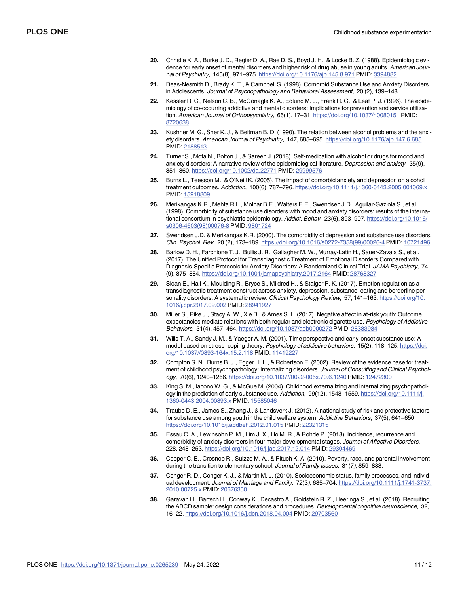- <span id="page-10-0"></span>**20.** Christie K. A., Burke J. D., Regier D. A., Rae D. S., Boyd J. H., & Locke B. Z. (1988). Epidemiologic evidence for early onset of mental disorders and higher risk of drug abuse in young adults. American Journal of Psychiatry, 145(8), 971–975. <https://doi.org/10.1176/ajp.145.8.971> PMID: [3394882](http://www.ncbi.nlm.nih.gov/pubmed/3394882)
- **21.** Deas-Nesmith D., Brady K. T., & Campbell S. (1998). Comorbid Substance Use and Anxiety Disorders in Adolescents. Journal of Psychopathology and Behavioral Assessment, 20 (2), 139–148.
- **22.** Kessler R. C., Nelson C. B., McGonagle K. A., Edlund M. J., Frank R. G., & Leaf P. J. (1996). The epidemiology of co-occurring addictive and mental disorders: Implications for prevention and service utilization. American Journal of Orthopsychiatry, 66(1), 17–31. <https://doi.org/10.1037/h0080151> PMID: [8720638](http://www.ncbi.nlm.nih.gov/pubmed/8720638)
- **23.** Kushner M. G., Sher K. J., & Beitman B. D. (1990). The relation between alcohol problems and the anxiety disorders. American Journal of Psychiatry, 147, 685–695. <https://doi.org/10.1176/ajp.147.6.685> PMID: [2188513](http://www.ncbi.nlm.nih.gov/pubmed/2188513)
- **[24](#page-7-0).** Turner S., Mota N., Bolton J., & Sareen J. (2018). Self-medication with alcohol or drugs for mood and anxiety disorders: A narrative review of the epidemiological literature. Depression and anxiety, 35(9), 851–860. <https://doi.org/10.1002/da.22771> PMID: [29999576](http://www.ncbi.nlm.nih.gov/pubmed/29999576)
- **[25](#page-1-0).** Burns L., Teesson M., & O'Neill K. (2005). The impact of comorbid anxiety and depression on alcohol treatment outcomes. Addiction, 100(6), 787–796. <https://doi.org/10.1111/j.1360-0443.2005.001069.x> PMID: [15918809](http://www.ncbi.nlm.nih.gov/pubmed/15918809)
- **26.** Merikangas K.R., Mehta R.L., Molnar B.E., Walters E.E., Swendsen J.D., Aguilar-Gaziola S., et al. (1998). Comorbidity of substance use disorders with mood and anxiety disorders: results of the international consortium in psychiatric epidemiology. Addict. Behav. 23(6), 893–907. [https://doi.org/10.1016/](https://doi.org/10.1016/s0306-4603%2898%2900076-8) [s0306-4603\(98\)00076-8](https://doi.org/10.1016/s0306-4603%2898%2900076-8) PMID: [9801724](http://www.ncbi.nlm.nih.gov/pubmed/9801724)
- **[27](#page-1-0).** Swendsen J.D. & Merikangas K.R. (2000). The comorbidity of depression and substance use disorders. Clin. Psychol. Rev. 20 (2), 173–189. [https://doi.org/10.1016/s0272-7358\(99\)00026-4](https://doi.org/10.1016/s0272-7358%2899%2900026-4) PMID: [10721496](http://www.ncbi.nlm.nih.gov/pubmed/10721496)
- **[28](#page-1-0).** Barlow D. H., Farchione T. J., Bullis J. R., Gallagher M. W., Murray-Latin H., Sauer-Zavala S., et al. (2017). The Unified Protocol for Transdiagnostic Treatment of Emotional Disorders Compared with Diagnosis-Specific Protocols for Anxiety Disorders: A Randomized Clinical Trial. JAMA Psychiatry, 74 (9), 875–884. <https://doi.org/10.1001/jamapsychiatry.2017.2164> PMID: [28768327](http://www.ncbi.nlm.nih.gov/pubmed/28768327)
- **[29](#page-1-0).** Sloan E., Hall K., Moulding R., Bryce S., Mildred H., & Staiger P. K. (2017). Emotion regulation as a transdiagnostic treatment construct across anxiety, depression, substance, eating and borderline personality disorders: A systematic review. Clinical Psychology Review, 57, 141-163. [https://doi.org/10.](https://doi.org/10.1016/j.cpr.2017.09.002) [1016/j.cpr.2017.09.002](https://doi.org/10.1016/j.cpr.2017.09.002) PMID: [28941927](http://www.ncbi.nlm.nih.gov/pubmed/28941927)
- **[30](#page-2-0).** Miller S., Pike J., Stacy A. W., Xie B., & Ames S. L. (2017). Negative affect in at-risk youth: Outcome expectancies mediate relations with both regular and electronic cigarette use. Psychology of Addictive Behaviors, 31(4), 457–464. <https://doi.org/10.1037/adb0000272> PMID: [28383934](http://www.ncbi.nlm.nih.gov/pubmed/28383934)
- **[31](#page-7-0).** Wills T. A., Sandy J. M., & Yaeger A. M. (2001). Time perspective and early-onset substance use: A model based on stress-coping theory. Psychology of addictive behaviors, 15(2), 118-125. [https://doi.](https://doi.org/10.1037//0893-164x.15.2.118) [org/10.1037//0893-164x.15.2.118](https://doi.org/10.1037//0893-164x.15.2.118) PMID: [11419227](http://www.ncbi.nlm.nih.gov/pubmed/11419227)
- **[32](#page-2-0).** Compton S. N., Burns B. J., Egger H. L., & Robertson E. (2002). Review of the evidence base for treatment of childhood psychopathology: Internalizing disorders. Journal of Consulting and Clinical Psychology, 70(6), 1240–1266. <https://doi.org/10.1037//0022-006x.70.6.1240> PMID: [12472300](http://www.ncbi.nlm.nih.gov/pubmed/12472300)
- **[33](#page-2-0).** King S. M., Iacono W. G., & McGue M. (2004). Childhood externalizing and internalizing psychopathology in the prediction of early substance use. Addiction, 99(12), 1548–1559. [https://doi.org/10.1111/j.](https://doi.org/10.1111/j.1360-0443.2004.00893.x) [1360-0443.2004.00893.x](https://doi.org/10.1111/j.1360-0443.2004.00893.x) PMID: [15585046](http://www.ncbi.nlm.nih.gov/pubmed/15585046)
- **[34](#page-2-0).** Traube D. E., James S., Zhang J., & Landsverk J. (2012). A national study of risk and protective factors for substance use among youth in the child welfare system. Addictive Behaviors, 37(5), 641–650. <https://doi.org/10.1016/j.addbeh.2012.01.015> PMID: [22321315](http://www.ncbi.nlm.nih.gov/pubmed/22321315)
- **[35](#page-2-0).** Essau C. A., Lewinsohn P. M., Lim J. X., Ho M. R., & Rohde P. (2018). Incidence, recurrence and comorbidity of anxiety disorders in four major developmental stages. Journal of Affective Disorders, 228, 248–253. <https://doi.org/10.1016/j.jad.2017.12.014> PMID: [29304469](http://www.ncbi.nlm.nih.gov/pubmed/29304469)
- **[36](#page-2-0).** Cooper C. E., Crosnoe R., Suizzo M. A., & Pituch K. A. (2010). Poverty, race, and parental involvement during the transition to elementary school. Journal of Family Issues, 31(7), 859-883.
- **[37](#page-2-0).** Conger R. D., Conger K. J., & Martin M. J. (2010). Socioeconomic status, family processes, and individual development. Journal of Marriage and Family, 72(3), 685-704. [https://doi.org/10.1111/j.1741-3737.](https://doi.org/10.1111/j.1741-3737.2010.00725.x) [2010.00725.x](https://doi.org/10.1111/j.1741-3737.2010.00725.x) PMID: [20676350](http://www.ncbi.nlm.nih.gov/pubmed/20676350)
- **[38](#page-3-0).** Garavan H., Bartsch H., Conway K., Decastro A., Goldstein R. Z., Heeringa S., et al. (2018). Recruiting the ABCD sample: design considerations and procedures. Developmental cognitive neuroscience, 32, 16–22. <https://doi.org/10.1016/j.dcn.2018.04.004> PMID: [29703560](http://www.ncbi.nlm.nih.gov/pubmed/29703560)